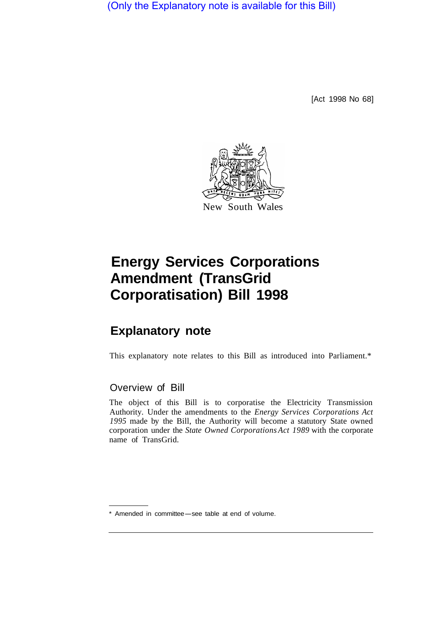(Only the Explanatory note is available for this Bill)

[Act 1998 No 68]



# **Energy Services Corporations Amendment (TransGrid Corporatisation) Bill 1998**

# **Explanatory note**

This explanatory note relates to this Bill as introduced into Parliament.\*

## Overview of Bill

The object of this Bill is to corporatise the Electricity Transmission Authority. Under the amendments to the *Energy Services Corporations Act 1995* made by the Bill, the Authority will become a statutory State owned corporation under the *State Owned Corporations Act 1989* with the corporate name of TransGrid.

Amended in committee-see table at end of volume.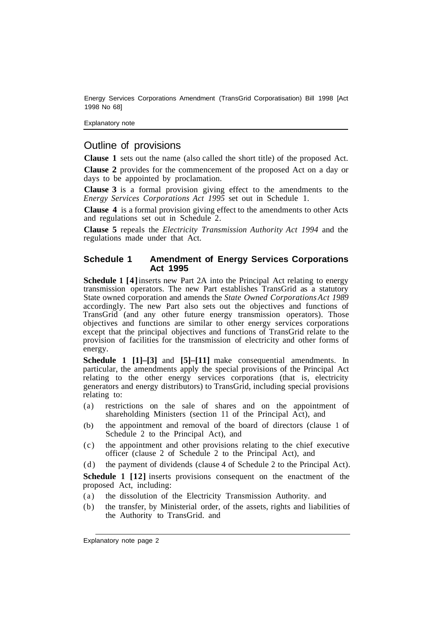Energy Services Corporations Amendment (TransGrid Corporatisation) Bill 1998 [Act 1998 No 68]

Explanatory note

### Outline of provisions

**Clause 1** sets out the name (also called the short title) of the proposed Act.

**Clause 2** provides for the commencement of the proposed Act on a day or days to be appointed by proclamation.

**Clause 3** is a formal provision giving effect to the amendments to the *Energy Services Corporations Act 1995* set out in Schedule 1.

**Clause 4** is a formal provision giving effect to the amendments to other Acts and regulations set out in Schedule 2.

**Clause 5** repeals the *Electricity Transmission Authority Act 1994* and the regulations made under that Act.

#### **Schedule 1 Amendment of Energy Services Corporations Act 1995**

**Schedule 1 [4]** inserts new Part 2A into the Principal Act relating to energy transmission operators. The new Part establishes TransGrid as a statutory State owned corporation and amends the *State Owned Corporations Act 1989*  accordingly. The new Part also sets out the objectives and functions of TransGrid (and any other future energy transmission operators). Those objectives and functions are similar to other energy services corporations except that the principal objectives and functions of TransGrid relate to the provision of facilities for the transmission of electricity and other forms of energy.

**Schedule 1 [1]–[3]** and **[5]–[11]** make consequential amendments. In particular, the amendments apply the special provisions of the Principal Act relating to the other energy services corporations (that is, electricity generators and energy distributors) to TransGrid, including special provisions relating to:

- (a) restrictions on the sale of shares and on the appointment of shareholding Ministers (section 11 of the Principal Act), and
- (b) the appointment and removal of the board of directors (clause 1 of Schedule 2 to the Principal Act), and
- (c) the appointment and other provisions relating to the chief executive officer (clause 2 of Schedule 2 to the Principal Act), and
- (d) the payment of dividends (clause 4 of Schedule 2 to the Principal Act).

**Schedule 1 [12]** inserts provisions consequent on the enactment of the proposed Act, including:

- (a) the dissolution of the Electricity Transmission Authority. and
- (b) the transfer, by Ministerial order, of the assets, rights and liabilities of the Authority to TransGrid. and

Explanatory note page 2